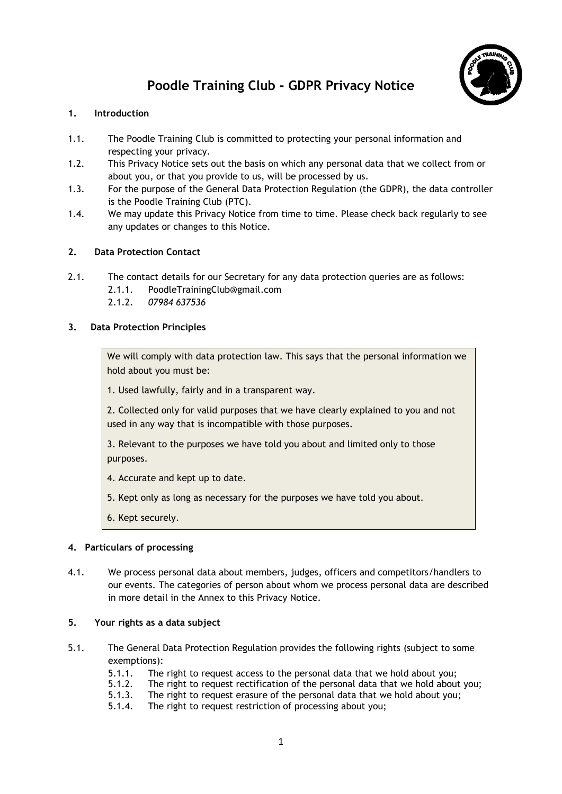# Poodle Training Club - GDPR Privacy Notice



## 1. Introduction

- 1.1. The Poodle Training Club is committed to protecting your personal information and respecting your privacy.
- 1.2. This Privacy Notice sets out the basis on which any personal data that we collect from or about you, or that you provide to us, will be processed by us.
- 1.3. For the purpose of the General Data Protection Regulation (the GDPR), the data controller is the Poodle Training Club (PTC).
- 1.4. We may update this Privacy Notice from time to time. Please check back regularly to see any updates or changes to this Notice.

## 2. Data Protection Contact

- 2.1. The contact details for our Secretary for any data protection queries are as follows:
	- 2.1.1. PoodleTrainingClub@gmail.com
	- 2.1.2. 07984 637536

## 3. Data Protection Principles

We will comply with data protection law. This says that the personal information we hold about you must be:

1. Used lawfully, fairly and in a transparent way.

2. Collected only for valid purposes that we have clearly explained to you and not used in any way that is incompatible with those purposes.

3. Relevant to the purposes we have told you about and limited only to those purposes.

4. Accurate and kept up to date.

- 5. Kept only as long as necessary for the purposes we have told you about.
- 6. Kept securely.

## 4. Particulars of processing

4.1. We process personal data about members, judges, officers and competitors/handlers to our events. The categories of person about whom we process personal data are described in more detail in the Annex to this Privacy Notice.

## 5. Your rights as a data subject

- 5.1. The General Data Protection Regulation provides the following rights (subject to some exemptions):
	- 5.1.1. The right to request access to the personal data that we hold about you;
	- 5.1.2. The right to request rectification of the personal data that we hold about you;
	- 5.1.3. The right to request erasure of the personal data that we hold about you;
	- 5.1.4. The right to request restriction of processing about you;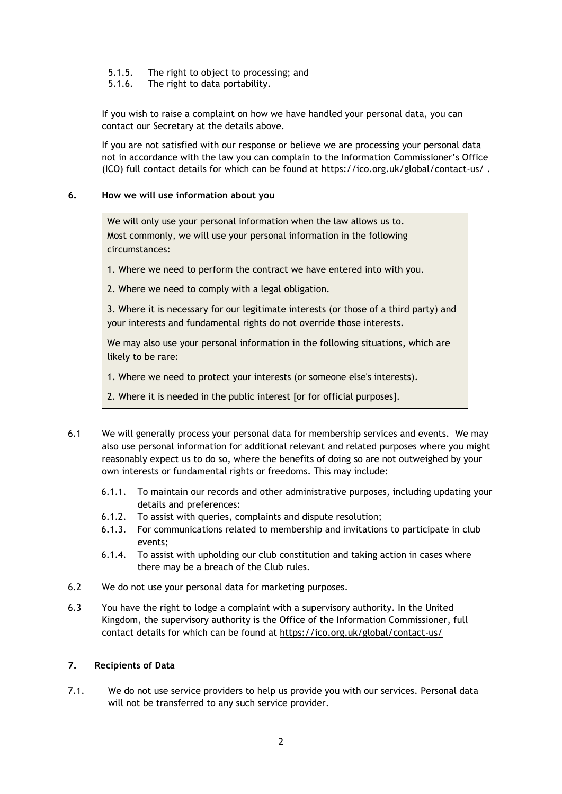- 5.1.5. The right to object to processing; and
- 5.1.6. The right to data portability.

If you wish to raise a complaint on how we have handled your personal data, you can contact our Secretary at the details above.

If you are not satisfied with our response or believe we are processing your personal data not in accordance with the law you can complain to the Information Commissioner's Office (ICO) full contact details for which can be found at https://ico.org.uk/global/contact-us/ .

#### 6. How we will use information about you

We will only use your personal information when the law allows us to. Most commonly, we will use your personal information in the following circumstances:

1. Where we need to perform the contract we have entered into with you.

2. Where we need to comply with a legal obligation.

3. Where it is necessary for our legitimate interests (or those of a third party) and your interests and fundamental rights do not override those interests.

We may also use your personal information in the following situations, which are likely to be rare:

1. Where we need to protect your interests (or someone else's interests).

2. Where it is needed in the public interest [or for official purposes].

- 6.1 We will generally process your personal data for membership services and events. We may also use personal information for additional relevant and related purposes where you might reasonably expect us to do so, where the benefits of doing so are not outweighed by your own interests or fundamental rights or freedoms. This may include:
	- 6.1.1. To maintain our records and other administrative purposes, including updating your details and preferences:
	- 6.1.2. To assist with queries, complaints and dispute resolution;
	- 6.1.3. For communications related to membership and invitations to participate in club events;
	- 6.1.4. To assist with upholding our club constitution and taking action in cases where there may be a breach of the Club rules.
- 6.2 We do not use your personal data for marketing purposes.
- 6.3 You have the right to lodge a complaint with a supervisory authority. In the United Kingdom, the supervisory authority is the Office of the Information Commissioner, full contact details for which can be found at https://ico.org.uk/global/contact-us/

#### 7. Recipients of Data

7.1. We do not use service providers to help us provide you with our services. Personal data will not be transferred to any such service provider.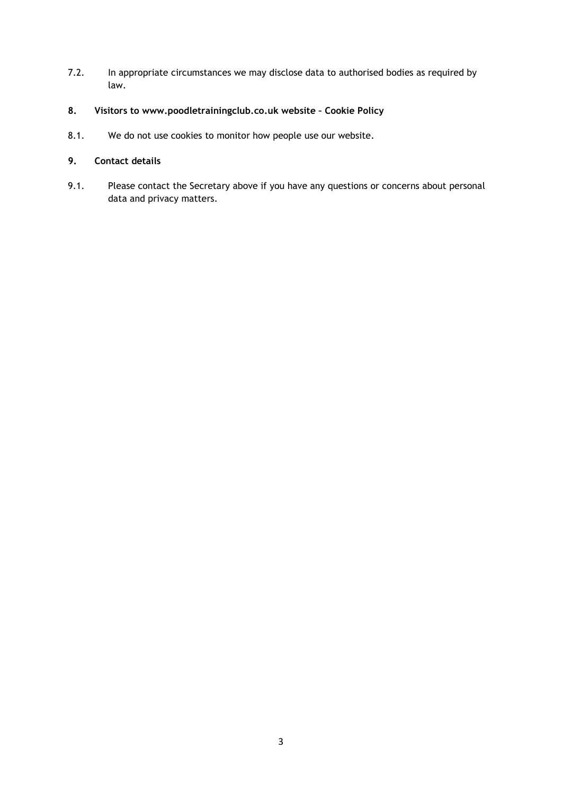- 7.2. In appropriate circumstances we may disclose data to authorised bodies as required by law.
- 8. Visitors to www.poodletrainingclub.co.uk website Cookie Policy
- 8.1. We do not use cookies to monitor how people use our website.

## 9. Contact details

9.1. Please contact the Secretary above if you have any questions or concerns about personal data and privacy matters.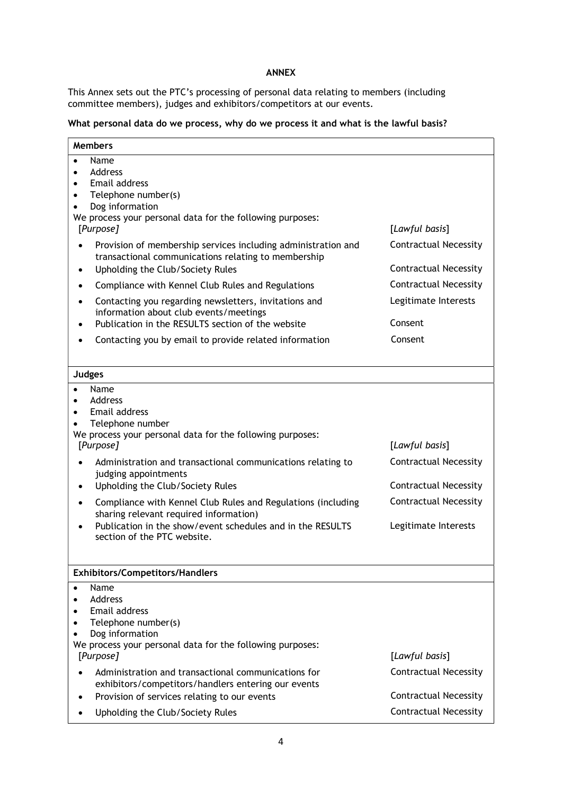## ANNEX

This Annex sets out the PTC's processing of personal data relating to members (including committee members), judges and exhibitors/competitors at our events.

### What personal data do we process, why do we process it and what is the lawful basis?

| <b>Members</b>                                                                                                                                                                                                                                                                                                                                                                                                                                                                                                       |                                                                                                                                        |  |
|----------------------------------------------------------------------------------------------------------------------------------------------------------------------------------------------------------------------------------------------------------------------------------------------------------------------------------------------------------------------------------------------------------------------------------------------------------------------------------------------------------------------|----------------------------------------------------------------------------------------------------------------------------------------|--|
| Name<br>$\bullet$<br>Address<br>$\bullet$<br>Email address<br>$\bullet$<br>Telephone number(s)<br>$\bullet$<br>Dog information<br>We process your personal data for the following purposes:<br>[Purpose]                                                                                                                                                                                                                                                                                                             | [Lawful basis]                                                                                                                         |  |
| Provision of membership services including administration and<br>transactional communications relating to membership<br>Upholding the Club/Society Rules<br>$\bullet$                                                                                                                                                                                                                                                                                                                                                | <b>Contractual Necessity</b><br><b>Contractual Necessity</b>                                                                           |  |
| Compliance with Kennel Club Rules and Regulations                                                                                                                                                                                                                                                                                                                                                                                                                                                                    | <b>Contractual Necessity</b>                                                                                                           |  |
| Contacting you regarding newsletters, invitations and<br>information about club events/meetings<br>Publication in the RESULTS section of the website                                                                                                                                                                                                                                                                                                                                                                 | Legitimate Interests<br>Consent                                                                                                        |  |
| Contacting you by email to provide related information                                                                                                                                                                                                                                                                                                                                                                                                                                                               | Consent                                                                                                                                |  |
| <b>Judges</b>                                                                                                                                                                                                                                                                                                                                                                                                                                                                                                        |                                                                                                                                        |  |
| Name<br>Address<br>$\bullet$<br>Email address<br>$\bullet$<br>Telephone number<br>We process your personal data for the following purposes:<br>[Purpose]<br>Administration and transactional communications relating to<br>judging appointments<br>Upholding the Club/Society Rules<br>$\bullet$<br>Compliance with Kennel Club Rules and Regulations (including<br>$\bullet$<br>sharing relevant required information)<br>Publication in the show/event schedules and in the RESULTS<br>section of the PTC website. | [Lawful basis]<br><b>Contractual Necessity</b><br><b>Contractual Necessity</b><br><b>Contractual Necessity</b><br>Legitimate Interests |  |
| <b>Exhibitors/Competitors/Handlers</b>                                                                                                                                                                                                                                                                                                                                                                                                                                                                               |                                                                                                                                        |  |
| Name<br>$\bullet$<br>Address<br>Email address<br>Telephone number(s)<br>Dog information<br>We process your personal data for the following purposes:<br>[Purpose]                                                                                                                                                                                                                                                                                                                                                    | [Lawful basis]                                                                                                                         |  |
| Administration and transactional communications for<br>exhibitors/competitors/handlers entering our events                                                                                                                                                                                                                                                                                                                                                                                                           | <b>Contractual Necessity</b>                                                                                                           |  |
| Provision of services relating to our events                                                                                                                                                                                                                                                                                                                                                                                                                                                                         | <b>Contractual Necessity</b>                                                                                                           |  |
| Upholding the Club/Society Rules                                                                                                                                                                                                                                                                                                                                                                                                                                                                                     | <b>Contractual Necessity</b>                                                                                                           |  |